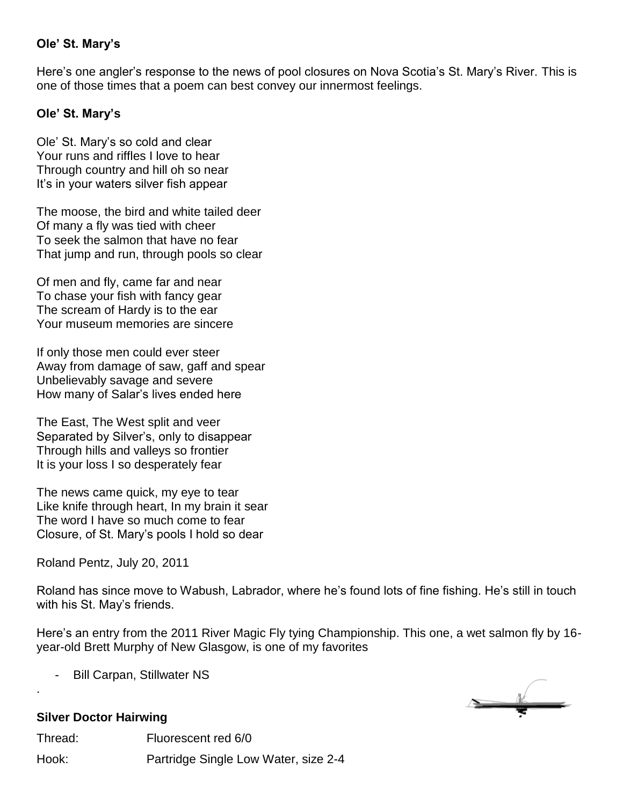## **Ole' St. Mary's**

Here's one angler's response to the news of pool closures on Nova Scotia's St. Mary's River. This is one of those times that a poem can best convey our innermost feelings.

## **Ole' St. Mary's**

Ole' St. Mary's so cold and clear Your runs and riffles I love to hear Through country and hill oh so near It's in your waters silver fish appear

The moose, the bird and white tailed deer Of many a fly was tied with cheer To seek the salmon that have no fear That jump and run, through pools so clear

Of men and fly, came far and near To chase your fish with fancy gear The scream of Hardy is to the ear Your museum memories are sincere

If only those men could ever steer Away from damage of saw, gaff and spear Unbelievably savage and severe How many of Salar's lives ended here

The East, The West split and veer Separated by Silver's, only to disappear Through hills and valleys so frontier It is your loss I so desperately fear

The news came quick, my eye to tear Like knife through heart, In my brain it sear The word I have so much come to fear Closure, of St. Mary's pools I hold so dear

Roland Pentz, July 20, 2011

Roland has since move to Wabush, Labrador, where he's found lots of fine fishing. He's still in touch with his St. May's friends.

Here's an entry from the 2011 River Magic Fly tying Championship. This one, a wet salmon fly by 16 year-old Brett Murphy of New Glasgow, is one of my favorites

Bill Carpan, Stillwater NS



## **Silver Doctor Hairwing**

.

Thread: Fluorescent red 6/0 Hook: Partridge Single Low Water, size 2-4